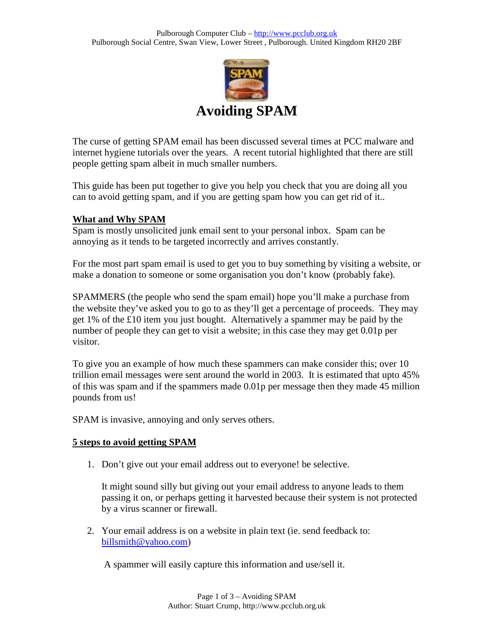

The curse of getting SPAM email has been discussed several times at PCC malware and internet hygiene tutorials over the years. A recent tutorial highlighted that there are still people getting spam albeit in much smaller numbers.

This guide has been put together to give you help you check that you are doing all you can to avoid getting spam, and if you are getting spam how you can get rid of it..

## **What and Why SPAM**

Spam is mostly unsolicited junk email sent to your personal inbox. Spam can be annoying as it tends to be targeted incorrectly and arrives constantly.

For the most part spam email is used to get you to buy something by visiting a website, or make a donation to someone or some organisation you don't know (probably fake).

SPAMMERS (the people who send the spam email) hope you'll make a purchase from the website they've asked you to go to as they'll get a percentage of proceeds. They may get 1% of the £10 item you just bought. Alternatively a spammer may be paid by the number of people they can get to visit a website; in this case they may get 0.01p per visitor.

To give you an example of how much these spammers can make consider this; over 10 trillion email messages were sent around the world in 2003. It is estimated that upto 45% of this was spam and if the spammers made 0.01p per message then they made 45 million pounds from us!

SPAM is invasive, annoying and only serves others.

## **5 steps to avoid getting SPAM**

1. Don't give out your email address out to everyone! be selective.

It might sound silly but giving out your email address to anyone leads to them passing it on, or perhaps getting it harvested because their system is not protected by a virus scanner or firewall.

2. Your email address is on a website in plain text (ie. send feedback to: billsmith@yahoo.com)

A spammer will easily capture this information and use/sell it.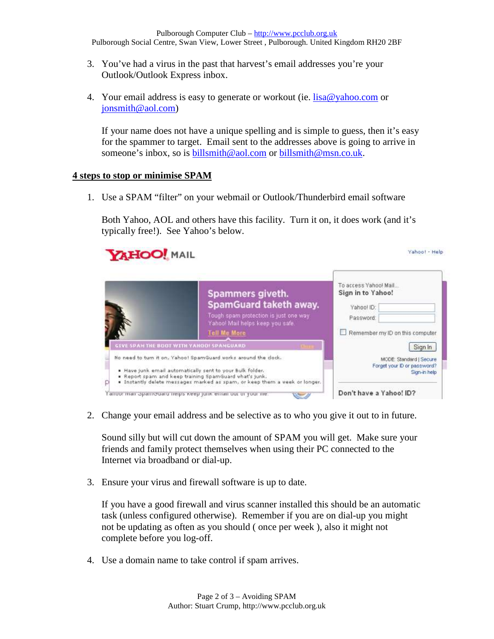- 3. You've had a virus in the past that harvest's email addresses you're your Outlook/Outlook Express inbox.
- 4. Your email address is easy to generate or workout (ie.  $lisa@yahoo.com$  or jonsmith@aol.com)

If your name does not have a unique spelling and is simple to guess, then it's easy for the spammer to target. Email sent to the addresses above is going to arrive in someone's inbox, so is billsmith@aol.com or billsmith@msn.co.uk.

## **4 steps to stop or minimise SPAM**

1. Use a SPAM "filter" on your webmail or Outlook/Thunderbird email software

Both Yahoo, AOL and others have this facility. Turn it on, it does work (and it's typically free!). See Yahoo's below.



2. Change your email address and be selective as to who you give it out to in future.

Sound silly but will cut down the amount of SPAM you will get. Make sure your friends and family protect themselves when using their PC connected to the Internet via broadband or dial-up.

3. Ensure your virus and firewall software is up to date.

If you have a good firewall and virus scanner installed this should be an automatic task (unless configured otherwise). Remember if you are on dial-up you might not be updating as often as you should ( once per week ), also it might not complete before you log-off.

4. Use a domain name to take control if spam arrives.